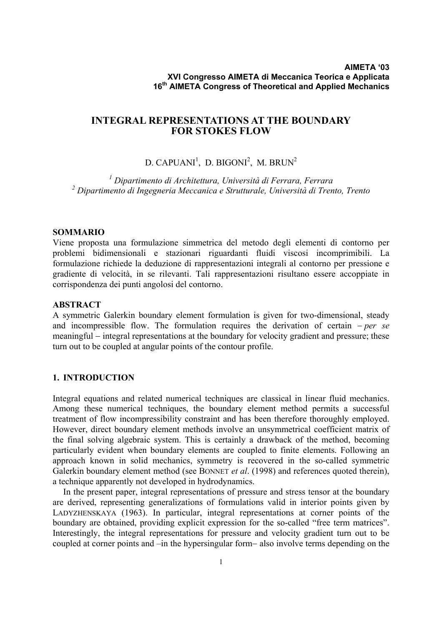# **INTEGRAL REPRESENTATIONS AT THE BOUNDARY FOR STOKES FLOW**

# D. CAPUANI<sup>1</sup>, D. BIGONI<sup>2</sup>, M. BRUN<sup>2</sup>

*1 Dipartimento di Architettura, Università di Ferrara, Ferrara 2 Dipartimento di Ingegneria Meccanica e Strutturale, Università di Trento, Trento*

### **SOMMARIO**

Viene proposta una formulazione simmetrica del metodo degli elementi di contorno per problemi bidimensionali e stazionari riguardanti fluidi viscosi incomprimibili. La formulazione richiede la deduzione di rappresentazioni integrali al contorno per pressione e gradiente di velocità, in se rilevanti. Tali rappresentazioni risultano essere accoppiate in corrispondenza dei punti angolosi del contorno.

# **ABSTRACT**

A symmetric Galerkin boundary element formulation is given for two-dimensional, steady and incompressible flow. The formulation requires the derivation of certain − *per se* meaningful – integral representations at the boundary for velocity gradient and pressure; these turn out to be coupled at angular points of the contour profile.

# **1. INTRODUCTION**

Integral equations and related numerical techniques are classical in linear fluid mechanics. Among these numerical techniques, the boundary element method permits a successful treatment of flow incompressibility constraint and has been therefore thoroughly employed. However, direct boundary element methods involve an unsymmetrical coefficient matrix of the final solving algebraic system. This is certainly a drawback of the method, becoming particularly evident when boundary elements are coupled to finite elements. Following an approach known in solid mechanics, symmetry is recovered in the so-called symmetric Galerkin boundary element method (see BONNET *et al*. (1998) and references quoted therein), a technique apparently not developed in hydrodynamics.

In the present paper, integral representations of pressure and stress tensor at the boundary are derived, representing generalizations of formulations valid in interior points given by LADYZHENSKAYA (1963). In particular, integral representations at corner points of the boundary are obtained, providing explicit expression for the so-called "free term matrices". Interestingly, the integral representations for pressure and velocity gradient turn out to be coupled at corner points and –in the hypersingular form− also involve terms depending on the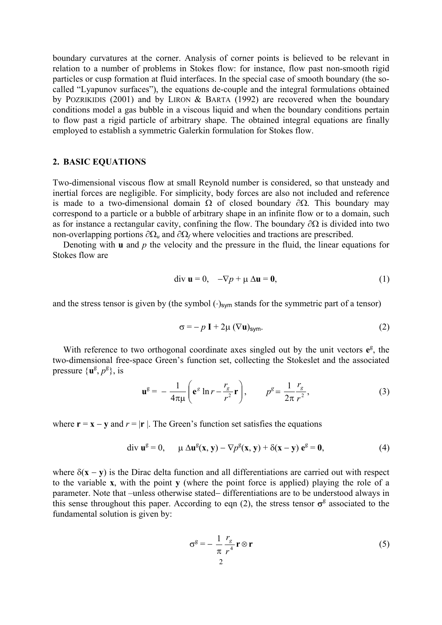boundary curvatures at the corner. Analysis of corner points is believed to be relevant in relation to a number of problems in Stokes flow: for instance, flow past non-smooth rigid particles or cusp formation at fluid interfaces. In the special case of smooth boundary (the socalled "Lyapunov surfaces"), the equations de-couple and the integral formulations obtained by POZRIKIDIS (2001) and by LIRON & BARTA (1992) are recovered when the boundary conditions model a gas bubble in a viscous liquid and when the boundary conditions pertain to flow past a rigid particle of arbitrary shape. The obtained integral equations are finally employed to establish a symmetric Galerkin formulation for Stokes flow.

#### **2. BASIC EQUATIONS**

Two-dimensional viscous flow at small Reynold number is considered, so that unsteady and inertial forces are negligible. For simplicity, body forces are also not included and reference is made to a two-dimensional domain  $\Omega$  of closed boundary  $\partial \Omega$ . This boundary may correspond to a particle or a bubble of arbitrary shape in an infinite flow or to a domain, such as for instance a rectangular cavity, confining the flow. The boundary  $\partial\Omega$  is divided into two non-overlapping portions  $\partial\Omega_{\mu}$  and  $\partial\Omega_{f}$  where velocities and tractions are prescribed.

Denoting with **u** and *p* the velocity and the pressure in the fluid, the linear equations for Stokes flow are

$$
\text{div } \mathbf{u} = 0, \quad -\nabla p + \mu \, \Delta \mathbf{u} = \mathbf{0}, \tag{1}
$$

and the stress tensor is given by (the symbol  $(\cdot)_{sym}$  stands for the symmetric part of a tensor)

$$
\sigma = -p \mathbf{I} + 2\mu (\nabla \mathbf{u})_{\text{sym}}.\tag{2}
$$

With reference to two orthogonal coordinate axes singled out by the unit vectors  $e^g$ , the two-dimensional free-space Green's function set, collecting the Stokeslet and the associated pressure  $\{u^g, p^g\}$ , is

$$
\mathbf{u}^{\mathcal{B}} = -\frac{1}{4\pi\mu} \left( \mathbf{e}^{\mathcal{B}} \ln r - \frac{r_{\mathcal{B}}}{r^2} \mathbf{r} \right), \qquad p^{\mathcal{B}} = \frac{1}{2\pi} \frac{r_{\mathcal{B}}}{r^2}, \tag{3}
$$

where  $\mathbf{r} = \mathbf{x} - \mathbf{v}$  and  $r = |\mathbf{r}|$ . The Green's function set satisfies the equations

$$
\text{div } \mathbf{u}^{\mathbf{g}} = 0, \qquad \mu \, \Delta \mathbf{u}^{\mathbf{g}}(\mathbf{x}, \mathbf{y}) - \nabla p^{\mathbf{g}}(\mathbf{x}, \mathbf{y}) + \delta(\mathbf{x} - \mathbf{y}) \, \mathbf{e}^{\mathbf{g}} = \mathbf{0}, \tag{4}
$$

where δ(**x** − **y**) is the Dirac delta function and all differentiations are carried out with respect to the variable **x**, with the point **y** (where the point force is applied) playing the role of a parameter. Note that –unless otherwise stated− differentiations are to be understood always in this sense throughout this paper. According to eqn (2), the stress tensor  $\sigma^g$  associated to the fundamental solution is given by:

$$
\sigma^g = -\frac{1}{\pi} \frac{r_g}{r^4} \mathbf{r} \otimes \mathbf{r}
$$
 (5)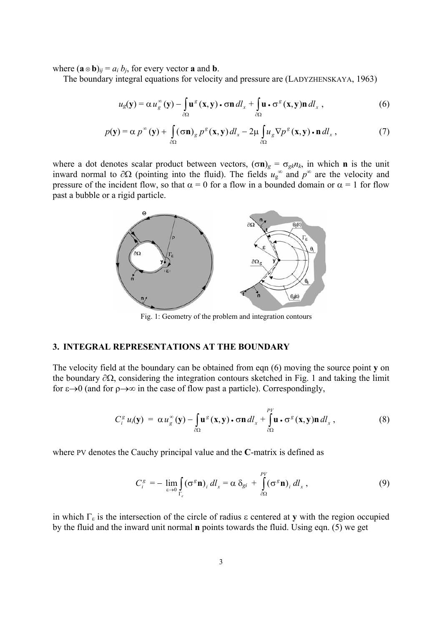where  $(\mathbf{a} \otimes \mathbf{b})_{ij} = a_i b_j$ , for every vector **a** and **b**.

The boundary integral equations for velocity and pressure are (LADYZHENSKAYA, 1963)

$$
u_g(\mathbf{y}) = \alpha u_g^{\infty}(\mathbf{y}) - \int_{\partial\Omega} \mathbf{u}^g(\mathbf{x}, \mathbf{y}) \cdot \sigma \mathbf{n} \, dl_x + \int_{\partial\Omega} \mathbf{u} \cdot \sigma^g(\mathbf{x}, \mathbf{y}) \mathbf{n} \, dl_x , \qquad (6)
$$

$$
p(\mathbf{y}) = \alpha p^{\infty}(\mathbf{y}) + \int_{\partial\Omega} (\sigma \mathbf{n})_g p^g(\mathbf{x}, \mathbf{y}) dl_x - 2\mu \int_{\partial\Omega} u_g \nabla p^g(\mathbf{x}, \mathbf{y}) \cdot \mathbf{n} dl_x , \qquad (7)
$$

where a dot denotes scalar product between vectors,  $(\sigma \mathbf{n})_g = \sigma_{gk} n_k$ , in which **n** is the unit inward normal to  $\partial\Omega$  (pointing into the fluid). The fields  $u_g^{\infty}$  and  $p^{\infty}$  are the velocity and pressure of the incident flow, so that  $\alpha = 0$  for a flow in a bounded domain or  $\alpha = 1$  for flow past a bubble or a rigid particle.



Fig. 1: Geometry of the problem and integration contours

## **3. INTEGRAL REPRESENTATIONS AT THE BOUNDARY**

The velocity field at the boundary can be obtained from eqn (6) moving the source point **y** on the boundary ∂Ω, considering the integration contours sketched in Fig. 1 and taking the limit for  $\varepsilon \rightarrow 0$  (and for  $\rho \rightarrow \infty$  in the case of flow past a particle). Correspondingly,

$$
C_i^g u_i(\mathbf{y}) = \alpha u_g^{\infty}(\mathbf{y}) - \int_{\partial \Omega} \mathbf{u}^g(\mathbf{x}, \mathbf{y}) \cdot \sigma \mathbf{n} \, dl_x + \int_{\partial \Omega} \mathbf{u} \cdot \sigma^g(\mathbf{x}, \mathbf{y}) \mathbf{n} \, dl_x, \qquad (8)
$$

where PV denotes the Cauchy principal value and the **C**-matrix is defined as

$$
C_i^g = -\lim_{\varepsilon \to 0} \int_{\Gamma_{\varepsilon}} (\sigma^g \mathbf{n})_i \, dl_x = \alpha \, \delta_{gi} + \int_{\partial \Omega}^{\rho_V} (\sigma^g \mathbf{n})_i \, dl_x \,, \tag{9}
$$

in which  $\Gamma_{\epsilon}$  is the intersection of the circle of radius  $\epsilon$  centered at **y** with the region occupied by the fluid and the inward unit normal **n** points towards the fluid. Using eqn. (5) we get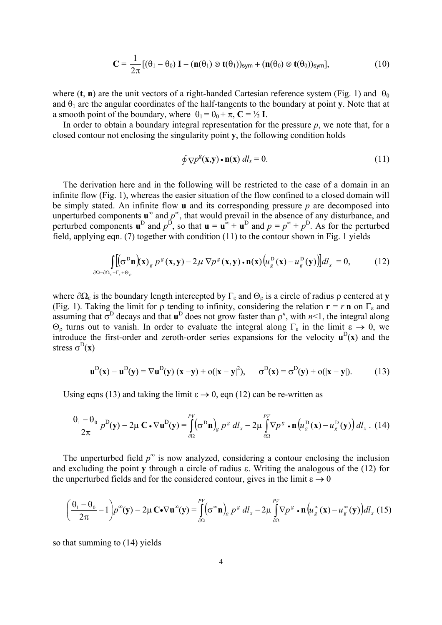$$
\mathbf{C} = \frac{1}{2\pi} \left[ (\theta_1 - \theta_0) \, \mathbf{I} - (\mathbf{n}(\theta_1) \otimes \mathbf{t}(\theta_1))_{\text{sym}} + (\mathbf{n}(\theta_0) \otimes \mathbf{t}(\theta_0))_{\text{sym}} \right],\tag{10}
$$

where (**t**, **n**) are the unit vectors of a right-handed Cartesian reference system (Fig. 1) and  $\theta_0$ and  $\theta_1$  are the angular coordinates of the half-tangents to the boundary at point **y**. Note that at a smooth point of the boundary, where  $\theta_1 = \theta_0 + \pi$ ,  $\mathbf{C} = \frac{1}{2} \mathbf{I}$ .

In order to obtain a boundary integral representation for the pressure  $p$ , we note that, for a closed contour not enclosing the singularity point **y**, the following condition holds

$$
\oint \nabla p^g(\mathbf{x}, \mathbf{y}) \cdot \mathbf{n}(\mathbf{x}) \, dl_x = 0. \tag{11}
$$

The derivation here and in the following will be restricted to the case of a domain in an infinite flow (Fig. 1), whereas the easier situation of the flow confined to a closed domain will be simply stated. An infinite flow **u** and its corresponding pressure *p* are decomposed into unperturbed components  $\mathbf{u}^{\infty}$  and  $p^{\infty}$ , that would prevail in the absence of any disturbance, and perturbed components  $\mathbf{u}^{\text{D}}$  and  $p^{\text{D}}$ , so that  $\mathbf{u} = \mathbf{u}^{\infty} + \mathbf{u}^{\text{D}}$  and  $p = p^{\infty} + p^{\text{D}}$ . As for the perturbed field, applying eqn. (7) together with condition (11) to the contour shown in Fig. 1 yields

$$
\int_{\partial\Omega-\partial\Omega_{\varepsilon}+\Gamma_{\varepsilon}+\Theta_{\rho}} \left[ \left( \sigma^D \mathbf{n} \right) (\mathbf{x}) g \, p^{\varepsilon} (\mathbf{x}, \mathbf{y}) - 2\mu \, \nabla p^{\varepsilon} (\mathbf{x}, \mathbf{y}) \cdot \mathbf{n} (\mathbf{x}) \left( u_g^D (\mathbf{x}) - u_g^D (\mathbf{y}) \right) \right] d l_x = 0, \tag{12}
$$

where  $\partial\Omega_{\epsilon}$  is the boundary length intercepted by  $\Gamma_{\epsilon}$  and  $\Theta_{0}$  is a circle of radius  $\rho$  centered at **y** (Fig. 1). Taking the limit for  $\rho$  tending to infinity, considering the relation  $\mathbf{r} = r \mathbf{n}$  on  $\Gamma_{\varepsilon}$  and assuming that  $\sigma^D$  decays and that  $\mathbf{u}^D$  does not grow faster than  $\rho^n$ , with  $n<1$ , the integral along Θρ turns out to vanish. In order to evaluate the integral along Γε in the limit ε → 0, we introduce the first-order and zeroth-order series expansions for the velocity  $\mathbf{u}^D(\mathbf{x})$  and the stress  $\sigma^D(x)$ 

$$
\mathbf{u}^{\mathrm{D}}(\mathbf{x}) - \mathbf{u}^{\mathrm{D}}(\mathbf{y}) = \nabla \mathbf{u}^{\mathrm{D}}(\mathbf{y}) (\mathbf{x} - \mathbf{y}) + o(|\mathbf{x} - \mathbf{y}|^2), \quad \sigma^{\mathrm{D}}(\mathbf{x}) = \sigma^{\mathrm{D}}(\mathbf{y}) + o(|\mathbf{x} - \mathbf{y}|). \tag{13}
$$

Using eqns (13) and taking the limit  $\varepsilon \to 0$ , eqn (12) can be re-written as

$$
\frac{\theta_1 - \theta_0}{2\pi} p^D(\mathbf{y}) - 2\mu \mathbf{C} \cdot \nabla \mathbf{u}^D(\mathbf{y}) = \int_{\partial\Omega} (\sigma^D \mathbf{n})_g \ p^s \ dI_x - 2\mu \int_{\partial\Omega} \nabla p^s \cdot \mathbf{n} \left( u_g^D(\mathbf{x}) - u_g^D(\mathbf{y}) \right) dl_x \ . \ (14)
$$

The unperturbed field  $p^{\infty}$  is now analyzed, considering a contour enclosing the inclusion and excluding the point **y** through a circle of radius ε. Writing the analogous of the (12) for the unperturbed fields and for the considered contour, gives in the limit  $\varepsilon \to 0$ 

$$
\left(\frac{\theta_1-\theta_0}{2\pi}-1\right)p^{\infty}(\mathbf{y})-2\mu\,\mathbf{C}\cdot\nabla\mathbf{u}^{\infty}(\mathbf{y})=\int\limits_{\partial\Omega}^{\rho_V}(\sigma^{\infty}\mathbf{n})_g\,p^{\sigma}\,dl_x-2\mu\int\limits_{\partial\Omega}^{\rho_V}\nabla p^{\sigma}\cdot\mathbf{n}\left(u_g^{\infty}(\mathbf{x})-u_g^{\infty}(\mathbf{y})\right)dl_x\,(15)
$$

so that summing to (14) yields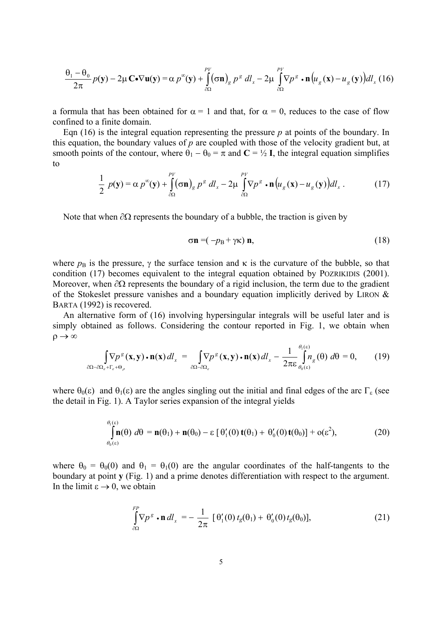$$
\frac{\theta_1 - \theta_0}{2\pi} p(\mathbf{y}) - 2\mu \mathbf{C} \cdot \nabla \mathbf{u}(\mathbf{y}) = \alpha p^{\infty}(\mathbf{y}) + \int_{\partial \Omega}^{p_V} (\sigma \mathbf{n})_g \ p^s \ d l_x - 2\mu \int_{\partial \Omega}^{p_V} \nabla p^s \cdot \mathbf{n} \left( u_g(\mathbf{x}) - u_g(\mathbf{y}) \right) dl_x \ (16)
$$

a formula that has been obtained for  $\alpha = 1$  and that, for  $\alpha = 0$ , reduces to the case of flow confined to a finite domain.

Eqn  $(16)$  is the integral equation representing the pressure  $p$  at points of the boundary. In this equation, the boundary values of *p* are coupled with those of the velocity gradient but, at smooth points of the contour, where  $\theta_1 - \theta_0 = \pi$  and  $\mathbf{C} = \frac{1}{2}$  **I**, the integral equation simplifies to

$$
\frac{1}{2} p(\mathbf{y}) = \alpha p^{\infty}(\mathbf{y}) + \int_{\partial\Omega}^{PV} (\sigma \mathbf{n})_g p^s \, dl_x - 2\mu \int_{\partial\Omega}^{PV} \nabla p^s \cdot \mathbf{n} \big( u_g(\mathbf{x}) - u_g(\mathbf{y}) \big) dl_x \,. \tag{17}
$$

Note that when  $\partial Ω$  represents the boundary of a bubble, the traction is given by

$$
\sigma \mathbf{n} = (-p_{\rm B} + \gamma \kappa) \mathbf{n},\tag{18}
$$

where  $p_B$  is the pressure,  $\gamma$  the surface tension and  $\kappa$  is the curvature of the bubble, so that condition (17) becomes equivalent to the integral equation obtained by POZRIKIDIS (2001). Moreover, when  $\partial\Omega$  represents the boundary of a rigid inclusion, the term due to the gradient of the Stokeslet pressure vanishes and a boundary equation implicitly derived by LIRON & BARTA (1992) is recovered.

An alternative form of (16) involving hypersingular integrals will be useful later and is simply obtained as follows. Considering the contour reported in Fig. 1, we obtain when  $\rho \rightarrow \infty$ 

$$
\int_{\partial\Omega-\partial\Omega_{\varepsilon}+\Gamma_{\varepsilon}+\Theta_{\rho}} \nabla p^{\varepsilon}(\mathbf{x},\mathbf{y})\cdot \mathbf{n}(\mathbf{x})\,dl_{x} = \int_{\partial\Omega-\partial\Omega_{\varepsilon}} \nabla p^{\varepsilon}(\mathbf{x},\mathbf{y})\cdot \mathbf{n}(\mathbf{x})\,dl_{x} - \frac{1}{2\pi\varepsilon} \int_{\theta_{0}(\varepsilon)}^{\theta_{1}(\varepsilon)} n_{g}(\theta)\,d\theta = 0, \qquad (19)
$$

where  $\theta_0(\varepsilon)$  and  $\theta_1(\varepsilon)$  are the angles singling out the initial and final edges of the arc  $\Gamma_{\varepsilon}$  (see the detail in Fig. 1). A Taylor series expansion of the integral yields

$$
\int_{\theta_0(\varepsilon)}^{\theta_1(\varepsilon)} \mathbf{n}(\theta) \ d\theta = \mathbf{n}(\theta_1) + \mathbf{n}(\theta_0) - \varepsilon \left[ \theta_1'(0) \, \mathbf{t}(\theta_1) + \theta_0'(0) \, \mathbf{t}(\theta_0) \right] + o(\varepsilon^2), \tag{20}
$$

where  $\theta_0 = \theta_0(0)$  and  $\theta_1 = \theta_1(0)$  are the angular coordinates of the half-tangents to the boundary at point **y** (Fig. 1) and a prime denotes differentiation with respect to the argument. In the limit  $\varepsilon \to 0$ , we obtain

$$
\int_{\partial\Omega}^{FP} \mathbf{v} \mathbf{p}^g \cdot \mathbf{n} \, dl_x = -\frac{1}{2\pi} \left[ \Theta_1'(0) \, t_g(\theta_1) + \Theta_0'(0) \, t_g(\theta_0) \right],\tag{21}
$$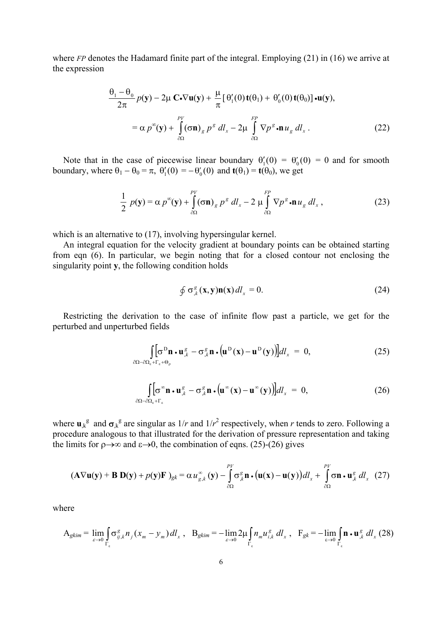where *FP* denotes the Hadamard finite part of the integral. Employing (21) in (16) we arrive at the expression

$$
\frac{\theta_1 - \theta_0}{2\pi} p(\mathbf{y}) - 2\mu \mathbf{C} \cdot \nabla \mathbf{u}(\mathbf{y}) + \frac{\mu}{\pi} [\theta'_1(0) \mathbf{t}(\theta_1) + \theta'_0(0) \mathbf{t}(\theta_0)] \cdot \mathbf{u}(\mathbf{y}),
$$
  
=  $\alpha p^{\infty}(\mathbf{y}) + \int_{\partial\Omega}^{PV} (\sigma \mathbf{n})_g p^g d l_x - 2\mu \int_{\partial\Omega}^{FP} \nabla p^g \cdot \mathbf{n} u_g d l_x.$  (22)

Note that in the case of piecewise linear boundary  $\theta'_{1}(0) = \theta'_{0}(0) = 0$  and for smooth boundary, where  $\theta_1 - \theta_0 = \pi$ ,  $\theta'_1(0) = -\theta'_0(0)$  and  $\mathbf{t}(\theta_1) = \mathbf{t}(\theta_0)$ , we get

$$
\frac{1}{2} p(\mathbf{y}) = \alpha p^{\infty}(\mathbf{y}) + \int_{\partial\Omega}^{PV} (\sigma \mathbf{n})_g p^g dl_x - 2 \mu \int_{\partial\Omega}^{FP} \nabla p^g \cdot \mathbf{n} u_g dl_x ,
$$
 (23)

which is an alternative to (17), involving hypersingular kernel.

An integral equation for the velocity gradient at boundary points can be obtained starting from eqn (6). In particular, we begin noting that for a closed contour not enclosing the singularity point **y**, the following condition holds

$$
\oint \sigma_{,k}^{g}(\mathbf{x}, \mathbf{y}) \mathbf{n}(\mathbf{x}) dl_{,x} = 0. \tag{24}
$$

Restricting the derivation to the case of infinite flow past a particle, we get for the perturbed and unperturbed fields

$$
\int_{\partial\Omega-\partial\Omega_{\varepsilon}+\Gamma_{\varepsilon}+\Theta_{\rho}} \left[ \sigma^{\mathcal{D}} \mathbf{n} \cdot \mathbf{u}_{,\varepsilon}^{\varepsilon} - \sigma_{,\varepsilon}^{\varepsilon} \mathbf{n} \cdot (\mathbf{u}^{\mathcal{D}}(\mathbf{x}) - \mathbf{u}^{\mathcal{D}}(\mathbf{y})) \right] d l_{x} = 0, \tag{25}
$$

$$
\int_{\partial\Omega - \partial\Omega_{\varepsilon} + \Gamma_{\varepsilon}} [\sigma^{\infty} \mathbf{n} \cdot \mathbf{u}_{,k}^g - \sigma_{,k}^g \mathbf{n} \cdot (\mathbf{u}^{\infty}(\mathbf{x}) - \mathbf{u}^{\infty}(\mathbf{y}))] dl_x = 0, \qquad (26)
$$

where  $\mathbf{u}_{k}$ <sup>g</sup> and  $\sigma_{k}$ <sup>g</sup> are singular as  $1/r$  and  $1/r^2$  respectively, when *r* tends to zero. Following a procedure analogous to that illustrated for the derivation of pressure representation and taking the limits for  $\rho \rightarrow \infty$  and  $\varepsilon \rightarrow 0$ , the combination of eqns. (25)-(26) gives

$$
(\mathbf{A}\nabla\mathbf{u}(\mathbf{y})+\mathbf{B}\mathbf{D}(\mathbf{y})+p(\mathbf{y})\mathbf{F})_{gk}=\alpha u_{g,k}^{\infty}(\mathbf{y})-\int_{\partial\Omega}^{p_{V}}\sigma_{,k}^{g}\mathbf{n}\cdot(\mathbf{u}(\mathbf{x})-\mathbf{u}(\mathbf{y}))dl_{x}+\int_{\partial\Omega}^{p_{V}}\sigma\mathbf{n}\cdot\mathbf{u}_{,k}^{g}dl_{x}\tag{27}
$$

where

$$
A_{gkm} = \lim_{\varepsilon \to 0} \int_{\Gamma_{\varepsilon}} \sigma_{ij,k}^g n_j (x_m - y_m) dl_x , B_{gkm} = -\lim_{\varepsilon \to 0} 2\mu \int_{\Gamma_{\varepsilon}} n_m u_{i,k}^g dl_x , F_{gk} = -\lim_{\varepsilon \to 0} \int_{\Gamma_{\varepsilon}} \mathbf{n} \cdot \mathbf{u}_{j,k}^g dl_x (28)
$$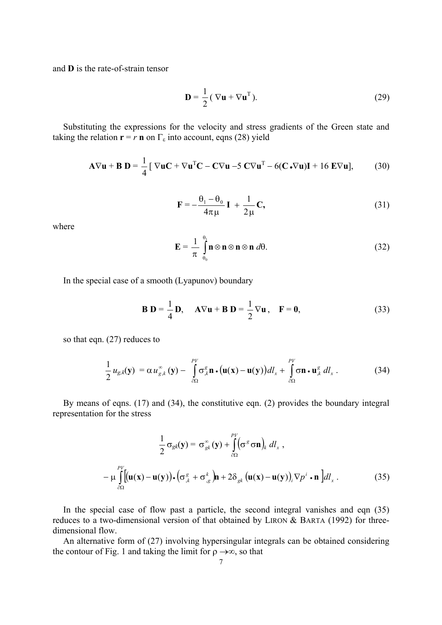and **D** is the rate-of-strain tensor

$$
\mathbf{D} = \frac{1}{2} (\nabla \mathbf{u} + \nabla \mathbf{u}^{\mathrm{T}}).
$$
 (29)

Substituting the expressions for the velocity and stress gradients of the Green state and taking the relation  $\mathbf{r} = r \mathbf{n}$  on  $\Gamma_{\varepsilon}$  into account, eqns (28) yield

$$
\mathbf{A}\nabla \mathbf{u} + \mathbf{B}\ \mathbf{D} = \frac{1}{4} [\nabla \mathbf{u}\mathbf{C} + \nabla \mathbf{u}^{\mathrm{T}}\mathbf{C} - \mathbf{C}\nabla \mathbf{u} - 5 \mathbf{C}\nabla \mathbf{u}^{\mathrm{T}} - 6(\mathbf{C}\cdot\nabla \mathbf{u})\mathbf{I} + 16 \mathbf{E}\nabla \mathbf{u}], \tag{30}
$$

$$
\mathbf{F} = -\frac{\theta_1 - \theta_0}{4\pi\mu} \mathbf{I} + \frac{1}{2\mu} \mathbf{C},
$$
 (31)

where

$$
\mathbf{E} = \frac{1}{\pi} \int_{\theta_0}^{\theta_1} \mathbf{n} \otimes \mathbf{n} \otimes \mathbf{n} \otimes \mathbf{n} \, d\theta. \tag{32}
$$

In the special case of a smooth (Lyapunov) boundary

$$
\mathbf{B} \mathbf{D} = \frac{1}{4} \mathbf{D}, \quad \mathbf{A} \nabla \mathbf{u} + \mathbf{B} \mathbf{D} = \frac{1}{2} \nabla \mathbf{u}, \quad \mathbf{F} = \mathbf{0}, \tag{33}
$$

so that eqn. (27) reduces to

$$
\frac{1}{2}u_{g,k}(\mathbf{y}) = \alpha u_{g,k}^{\infty}(\mathbf{y}) - \int_{\partial\Omega}^{PV} \sigma_{k}^{g} \mathbf{n} \cdot (\mathbf{u}(\mathbf{x}) - \mathbf{u}(\mathbf{y})) dl_{x} + \int_{\partial\Omega}^{PV} \sigma \mathbf{n} \cdot \mathbf{u}_{,k}^{g} dl_{x}. \qquad (34)
$$

By means of eqns. (17) and (34), the constitutive eqn. (2) provides the boundary integral representation for the stress

$$
\frac{1}{2}\sigma_{gk}(\mathbf{y}) = \sigma_{gk}^{\infty}(\mathbf{y}) + \int_{\partial\Omega}^{PV} (\sigma^g \sigma \mathbf{n})_k dl_x ,
$$

$$
-\mu \int_{\partial\Omega}^{PV} [(\mathbf{u}(\mathbf{x}) - \mathbf{u}(\mathbf{y})) \cdot (\sigma_{,k}^g + \sigma_{,g}^k) \mathbf{n} + 2\delta_{gk} (\mathbf{u}(\mathbf{x}) - \mathbf{u}(\mathbf{y}))_i \nabla p^i \cdot \mathbf{n}] dl_x .
$$
(35)

In the special case of flow past a particle, the second integral vanishes and eqn (35) reduces to a two-dimensional version of that obtained by LIRON & BARTA (1992) for threedimensional flow.

An alternative form of (27) involving hypersingular integrals can be obtained considering the contour of Fig. 1 and taking the limit for  $\rho \rightarrow \infty$ , so that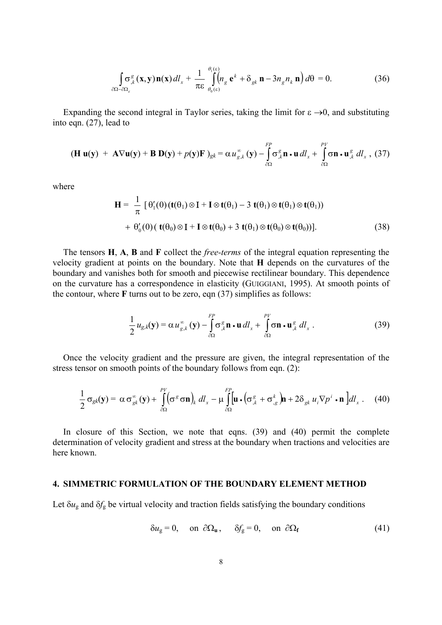$$
\int_{\partial\Omega-\partial\Omega_{\varepsilon}} \sigma_{,k}^{g}(\mathbf{x}, \mathbf{y}) \mathbf{n}(\mathbf{x}) dl_{x} + \frac{1}{\pi \varepsilon} \int_{\theta_{0}(\varepsilon)}^{\theta_{1}(\varepsilon)} \left(n_{g} e^{k} + \delta_{g k} \mathbf{n} - 3 n_{g} n_{k} \mathbf{n}\right) d\theta = 0.
$$
 (36)

Expanding the second integral in Taylor series, taking the limit for  $\varepsilon \rightarrow 0$ , and substituting into eqn. (27), lead to

$$
(\mathbf{H}\,\mathbf{u}(\mathbf{y})\,+\,\mathbf{A}\nabla\mathbf{u}(\mathbf{y})+\mathbf{B}\,\mathbf{D}(\mathbf{y})+p(\mathbf{y})\mathbf{F}\,)_{\mathbf{g}k}=\alpha\,u_{\mathbf{g},k}^{\infty}\,(\mathbf{y})-\int\limits_{\partial\Omega}^{\mathbf{F}P}\sigma_{,k}^{\mathbf{g}}\mathbf{n}\cdot\mathbf{u}\,dl_{x}+\int\limits_{\partial\Omega}^{\mathbf{F}V}\sigma\mathbf{n}\cdot\mathbf{u}_{,k}^{\mathbf{g}}\,dl_{x}\,,\,(37)
$$

where

$$
\mathbf{H} = \frac{1}{\pi} \left[ \theta_1'(0) (\mathbf{t}(\theta_1) \otimes \mathbf{I} + \mathbf{I} \otimes \mathbf{t}(\theta_1) - 3 \mathbf{t}(\theta_1) \otimes \mathbf{t}(\theta_1) \otimes \mathbf{t}(\theta_1)) \right. \\ \left. + \theta_0'(0) (\mathbf{t}(\theta_0) \otimes \mathbf{I} + \mathbf{I} \otimes \mathbf{t}(\theta_0) + 3 \mathbf{t}(\theta_1) \otimes \mathbf{t}(\theta_0) \otimes \mathbf{t}(\theta_0)) \right]. \tag{38}
$$

The tensors **H**, **A**, **B** and **F** collect the *free-terms* of the integral equation representing the velocity gradient at points on the boundary. Note that **H** depends on the curvatures of the boundary and vanishes both for smooth and piecewise rectilinear boundary. This dependence on the curvature has a correspondence in elasticity (GUIGGIANI, 1995). At smooth points of the contour, where **F** turns out to be zero, eqn (37) simplifies as follows:

$$
\frac{1}{2}u_{g,k}(\mathbf{y}) = \alpha u_{g,k}^{\infty}(\mathbf{y}) - \int_{\partial\Omega}^{FP} \sigma_{,k}^g \mathbf{n} \cdot \mathbf{u} \, dl_x + \int_{\partial\Omega}^{PF} \sigma \mathbf{n} \cdot \mathbf{u}_{,k}^g \, dl_x \,. \tag{39}
$$

Once the velocity gradient and the pressure are given, the integral representation of the stress tensor on smooth points of the boundary follows from eqn. (2):

$$
\frac{1}{2}\sigma_{gk}(\mathbf{y}) = \alpha \sigma_{gk}^{\infty}(\mathbf{y}) + \int_{\partial\Omega}^{PV} (\sigma^g \sigma \mathbf{n})_k \, dl_x - \mu \int_{\partial\Omega}^{FP} [\mathbf{u} \cdot (\sigma_{,k}^g + \sigma_{,g}^k) \mathbf{n} + 2\delta_{gk} u_i \nabla p^i \cdot \mathbf{n}] dl_x \,. \tag{40}
$$

In closure of this Section, we note that eqns. (39) and (40) permit the complete determination of velocity gradient and stress at the boundary when tractions and velocities are here known.

### **4. SIMMETRIC FORMULATION OF THE BOUNDARY ELEMENT METHOD**

Let  $\delta u_{\rm g}$  and  $\delta f_{\rm g}$  be virtual velocity and traction fields satisfying the boundary conditions

$$
\delta u_{\rm g} = 0, \quad \text{on } \partial \Omega_{\rm u}, \quad \delta f_{\rm g} = 0, \quad \text{on } \partial \Omega_{\rm f} \tag{41}
$$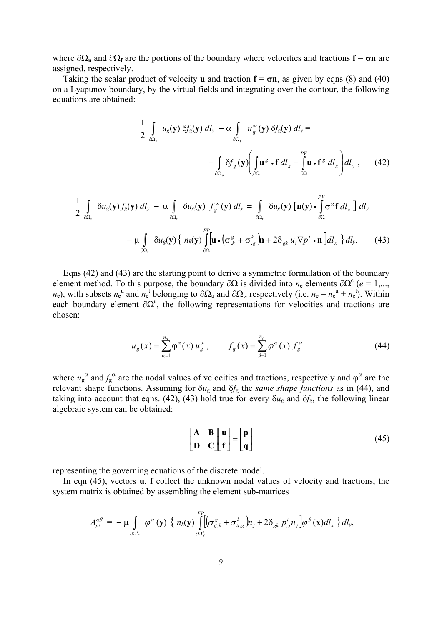where  $\partial\Omega_{\bf{u}}$  and  $\partial\Omega_{\bf{f}}$  are the portions of the boundary where velocities and tractions  ${\bf f} = \sigma {\bf n}$  are assigned, respectively.

Taking the scalar product of velocity **u** and traction  $f = \sigma n$ , as given by eqns (8) and (40) on a Lyapunov boundary, by the virtual fields and integrating over the contour, the following equations are obtained:

$$
\frac{1}{2} \int_{\partial \Omega_{u}} u_{g}(\mathbf{y}) \, \delta f_{g}(\mathbf{y}) \, dI_{y} - \alpha \int_{\partial \Omega_{u}} u_{g}^{\infty}(\mathbf{y}) \, \delta f_{g}(\mathbf{y}) \, dI_{y} = - \int_{\partial \Omega_{u}} \delta f_{g}(\mathbf{y}) \Biggl( \int_{\partial \Omega} \mathbf{u}^{g} \cdot \mathbf{f} \, dI_{x} - \int_{\partial \Omega} \mathbf{u} \cdot \mathbf{f}^{g} \, dI_{x} \Biggr) dI_{y} , \qquad (42)
$$

$$
\frac{1}{2} \int_{\partial \Omega_{\mathbf{f}}} \delta u_{g}(\mathbf{y}) f_{g}(\mathbf{y}) \, dI_{y} - \alpha \int_{\partial \Omega_{\mathbf{f}}} \delta u_{g}(\mathbf{y}) f_{g}^{\infty}(\mathbf{y}) \, dI_{y} = \int_{\partial \Omega_{\mathbf{f}}} \delta u_{g}(\mathbf{y}) \left[ \mathbf{n}(\mathbf{y}) \cdot \int_{\partial \Omega}^{PV} \sigma^{g} \mathbf{f} \, dI_{x} \right] \, dI_{y}
$$
\n
$$
- \mu \int_{\partial \Omega_{\mathbf{f}}} \delta u_{g}(\mathbf{y}) \left\{ n_{k}(\mathbf{y}) \int_{\partial \Omega}^{FP} \left[ \mathbf{u} \cdot (\sigma_{,k}^{g} + \sigma_{,g}^{k}) \mathbf{n} + 2 \delta_{gk} u_{i} \nabla p^{i} \cdot \mathbf{n} \right] dI_{x} \right\} dI_{y}.
$$
\n(43)

Eqns (42) and (43) are the starting point to derive a symmetric formulation of the boundary element method. To this purpose, the boundary  $\partial\Omega$  is divided into  $n_e$  elements  $\partial\Omega^e$  ( $e = 1,...,$  $n_e$ ), with subsets  $n_e$ <sup>u</sup> and  $n_e$ <sup>t</sup> belonging to  $\partial \Omega_u$  and  $\partial \Omega_t$ , respectively (i.e.  $n_e = n_e$ <sup>u</sup> +  $n_e$ <sup>t</sup>). Within each boundary element  $\partial \Omega^e$ , the following representations for velocities and tractions are chosen:

$$
u_g(x) = \sum_{\alpha=1}^{n_\alpha} \varphi^\alpha(x) u_g^\alpha, \qquad f_g(x) = \sum_{\beta=1}^{n_\beta} \varphi^\alpha(x) f_g^\alpha \tag{44}
$$

where  $u_g^{\alpha}$  and  $f_g^{\alpha}$  are the nodal values of velocities and tractions, respectively and  $\varphi^{\alpha}$  are the relevant shape functions. Assuming for δ*u*g and δ*f*g the *same shape functions* as in (44), and taking into account that eqns. (42), (43) hold true for every  $\delta u_{\rm g}$  and  $\delta f_{\rm g}$ , the following linear algebraic system can be obtained:

$$
\begin{bmatrix} A & B \\ D & C \end{bmatrix} \begin{bmatrix} u \\ f \end{bmatrix} = \begin{bmatrix} p \\ q \end{bmatrix}
$$
 (45)

representing the governing equations of the discrete model.

In eqn (45), vectors **u**, **f** collect the unknown nodal values of velocity and tractions, the system matrix is obtained by assembling the element sub-matrices

$$
A_{gi}^{\alpha\beta} = -\mu \int\limits_{\partial\Omega_f^e} \varphi^{\alpha}(\mathbf{y}) \left\{ n_k(\mathbf{y}) \int\limits_{\partial\Omega_f^e}^{FP} [\sigma_{ij,k}^s + \sigma_{ij,g}^k] n_j + 2 \delta_{gk} p_{,j}^i n_j] \varphi^{\beta}(\mathbf{x}) dl_x \right\} dl_y,
$$